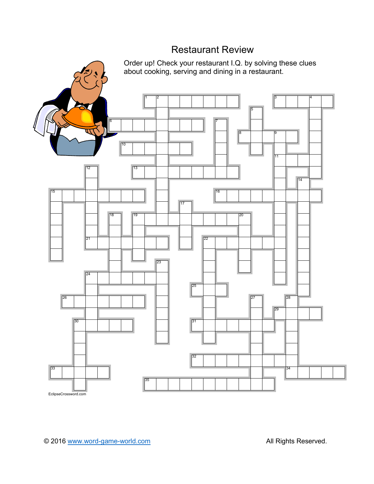## Restaurant Review

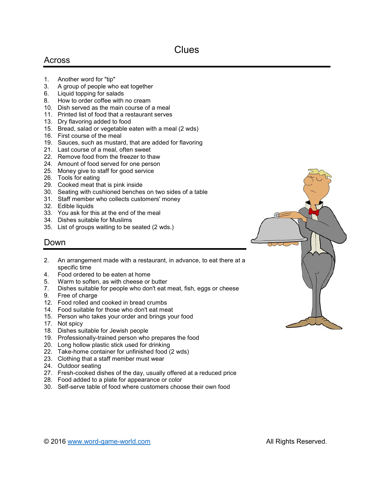## Across

- 1. Another word for "tip"
- 3. A group of people who eat together
- 6. Liquid topping for salads
- 8. How to order coffee with no cream
- 10. Dish served as the main course of a meal
- 11. Printed list of food that a restaurant serves
- 13. Dry flavoring added to food
- 15. Bread, salad or vegetable eaten with a meal (2 wds)
- 16. First course of the meal
- 19. Sauces, such as mustard, that are added for flavoring
- 21. Last course of a meal, often sweet
- 22. Remove food from the freezer to thaw
- 24. Amount of food served for one person
- 25. Money give to staff for good service
- 26. Tools for eating
- 29. Cooked meat that is pink inside
- 30. Seating with cushioned benches on two sides of a table
- 31. Staff member who collects customers' money
- 32. Edible liquids
- 33. You ask for this at the end of the meal
- 34. Dishes suitable for Muslims
- 35. List of groups waiting to be seated (2 wds.)

## Down

- 2. An arrangement made with a restaurant, in advance, to eat there at a specific time
- 4. Food ordered to be eaten at home
- 5. Warm to soften, as with cheese or butter
- 7. Dishes suitable for people who don't eat meat, fish, eggs or cheese
- 9. Free of charge
- 12. Food rolled and cooked in bread crumbs
- 14. Food suitable for those who don't eat meat
- 15. Person who takes your order and brings your food
- 17. Not spicy
- 18. Dishes suitable for Jewish people
- 19. Professionally-trained person who prepares the food
- 20. Long hollow plastic stick used for drinking
- 22. Take-home container for unfinished food (2 wds)
- 23. Clothing that a staff member must wear
- 24. Outdoor seating
- 27. Fresh-cooked dishes of the day, usually offered at a reduced price
- 28. Food added to a plate for appearance or color
- 30. Self-serve table of food where customers choose their own food